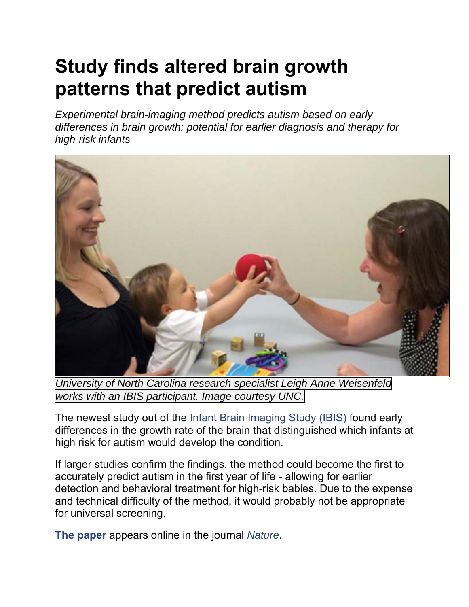## **Study finds altered brain growth patterns that predict autism**

*Experimental brain-imaging method predicts autism based on early differences in brain growth; potential for earlier diagnosis and therapy for high-risk infants*



*University of North Carolina research specialist Leigh Anne Weisenfeld works with an IBIS participant. Image courtesy UNC.*

The newest study out of the Infant Brain Imaging Study (IBIS) found early differences in the growth rate of the brain that distinguished which infants at high risk for autism would develop the condition.

If larger studies confirm the findings, the method could become the first to accurately predict autism in the first year of life - allowing for earlier detection and behavioral treatment for high-risk babies. Due to the expense and technical difficulty of the method, it would probably not be appropriate for universal screening.

**The paper** appears online in the journal *Nature*.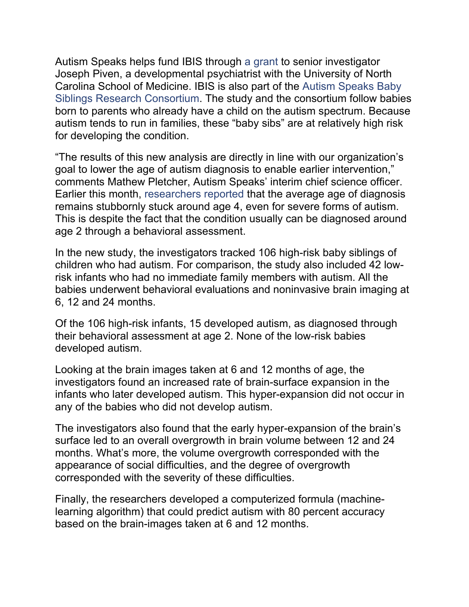Autism Speaks helps fund IBIS through a grant to senior investigator Joseph Piven, a developmental psychiatrist with the University of North Carolina School of Medicine. IBIS is also part of the Autism Speaks Baby Siblings Research Consortium. The study and the consortium follow babies born to parents who already have a child on the autism spectrum. Because autism tends to run in families, these "baby sibs" are at relatively high risk for developing the condition.

"The results of this new analysis are directly in line with our organization's goal to lower the age of autism diagnosis to enable earlier intervention," comments Mathew Pletcher, Autism Speaks' interim chief science officer. Earlier this month, researchers reported that the average age of diagnosis remains stubbornly stuck around age 4, even for severe forms of autism. This is despite the fact that the condition usually can be diagnosed around age 2 through a behavioral assessment.

In the new study, the investigators tracked 106 high-risk baby siblings of children who had autism. For comparison, the study also included 42 lowrisk infants who had no immediate family members with autism. All the babies underwent behavioral evaluations and noninvasive brain imaging at 6, 12 and 24 months.

Of the 106 high-risk infants, 15 developed autism, as diagnosed through their behavioral assessment at age 2. None of the low-risk babies developed autism.

Looking at the brain images taken at 6 and 12 months of age, the investigators found an increased rate of brain-surface expansion in the infants who later developed autism. This hyper-expansion did not occur in any of the babies who did not develop autism.

The investigators also found that the early hyper-expansion of the brain's surface led to an overall overgrowth in brain volume between 12 and 24 months. What's more, the volume overgrowth corresponded with the appearance of social difficulties, and the degree of overgrowth corresponded with the severity of these difficulties.

Finally, the researchers developed a computerized formula (machinelearning algorithm) that could predict autism with 80 percent accuracy based on the brain-images taken at 6 and 12 months.